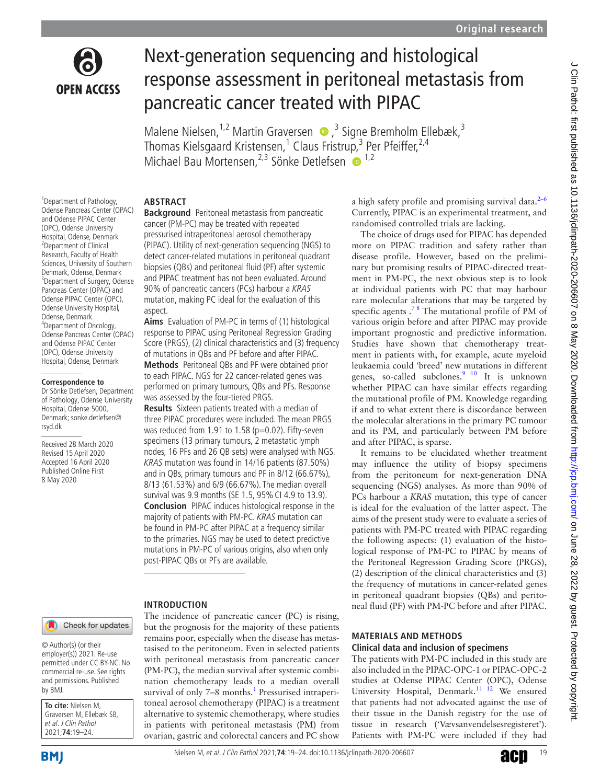

# Next-generation sequencing and histological response assessment in peritoneal metastasis from pancreatic cancer treated with PIPAC

Malene Nielsen,<sup>1,2</sup> Martin Graversen (D, <sup>3</sup> Signe Bremholm Ellebæk,<sup>3</sup> Thomas Kielsgaard Kristensen,<sup>1</sup> Claus Fristrup,<sup>3</sup> Per Pfeiffer,<sup>2,4</sup> Michael Bau Mortensen,  $2,3$  Sönke Detlefsen  $\overline{10}$   $^{1,2}$ 

# **Abstract**

<sup>1</sup> Department of Pathology, Odense Pancreas Center (OPAC) and Odense PIPAC Center (OPC), Odense University Hospital, Odense, Denmark 2 Department of Clinical Research, Faculty of Health Sciences, University of Southern Denmark, Odense, Denmark 3 Department of Surgery, Odense Pancreas Center (OPAC) and Odense PIPAC Center (OPC), Odense University Hospital, Odense, Denmark 4 Department of Oncology, Odense Pancreas Center (OPAC) and Odense PIPAC Center (OPC), Odense University Hospital, Odense, Denmark

#### **Correspondence to**

Dr Sönke Detlefsen, Department of Pathology, Odense University Hospital, Odense 5000, Denmark; sonke.detlefsen@ rsyd.dk

Received 28 March 2020 Revised 15 April 2020 Accepted 16 April 2020 Published Online First 8 May 2020

# **Background** Peritoneal metastasis from pancreatic

cancer (PM-PC) may be treated with repeated pressurised intraperitoneal aerosol chemotherapy (PIPAC). Utility of next-generation sequencing (NGS) to detect cancer-related mutations in peritoneal quadrant biopsies (QBs) and peritoneal fluid (PF) after systemic and PIPAC treatment has not been evaluated. Around 90% of pancreatic cancers (PCs) harbour a KRAS mutation, making PC ideal for the evaluation of this aspect.

**Aims** Evaluation of PM-PC in terms of (1) histological response to PIPAC using Peritoneal Regression Grading Score (PRGS), (2) clinical characteristics and (3) frequency of mutations in QBs and PF before and after PIPAC.

**Methods** Peritoneal QBs and PF were obtained prior to each PIPAC. NGS for 22 cancer-related genes was performed on primary tumours, QBs and PFs. Response was assessed by the four-tiered PRGS.

**Results** Sixteen patients treated with a median of three PIPAC procedures were included. The mean PRGS was reduced from 1.91 to 1.58 ( $p=0.02$ ). Fifty-seven specimens (13 primary tumours, 2 metastatic lymph nodes, 16 PFs and 26 QB sets) were analysed with NGS. KRAS mutation was found in 14/16 patients (87.50%) and in QBs, primary tumours and PF in 8/12 (66.67%), 8/13 (61.53%) and 6/9 (66.67%). The median overall survival was 9.9 months (SE 1.5, 95% CI 4.9 to 13.9). **Conclusion** PIPAC induces histological response in the majority of patients with PM-PC. KRAS mutation can be found in PM-PC after PIPAC at a frequency similar to the primaries. NGS may be used to detect predictive mutations in PM-PC of various origins, also when only post-PIPAC QBs or PFs are available.

# **Introduction**

The incidence of pancreatic cancer (PC) is rising, but the prognosis for the majority of these patients remains poor, especially when the disease has metastasised to the peritoneum. Even in selected patients with peritoneal metastasis from pancreatic cancer (PM-PC), the median survival after systemic combination chemotherapy leads to a median overall survival of only 7-8 months.<sup>[1](#page-5-0)</sup> Pressurised intraperitoneal aerosol chemotherapy (PIPAC) is a treatment alternative to systemic chemotherapy, where studies in patients with peritoneal metastasis (PM) from ovarian, gastric and colorectal cancers and PC show

a high safety profile and promising survival data.<sup>2-6</sup> Currently, PIPAC is an experimental treatment, and randomised controlled trials are lacking.

The choice of drugs used for PIPAC has depended more on PIPAC tradition and safety rather than disease profile. However, based on the preliminary but promising results of PIPAC-directed treatment in PM-PC, the next obvious step is to look at individual patients with PC that may harbour rare molecular alterations that may be targeted by specific agents  $.^{78}$  The mutational profile of PM of various origin before and after PIPAC may provide important prognostic and predictive information. Studies have shown that chemotherapy treatment in patients with, for example, acute myeloid leukaemia could 'breed' new mutations in different genes, so-called subclones. $9\frac{10}{10}$  It is unknown whether PIPAC can have similar effects regarding the mutational profile of PM. Knowledge regarding if and to what extent there is discordance between the molecular alterations in the primary PC tumour and its PM, and particularly between PM before and after PIPAC, is sparse.

It remains to be elucidated whether treatment may influence the utility of biopsy specimens from the peritoneum for next-generation DNA sequencing (NGS) analyses. As more than 90% of PCs harbour a *KRAS* mutation, this type of cancer is ideal for the evaluation of the latter aspect. The aims of the present study were to evaluate a series of patients with PM-PC treated with PIPAC regarding the following aspects: (1) evaluation of the histological response of PM-PC to PIPAC by means of the Peritoneal Regression Grading Score (PRGS), (2) description of the clinical characteristics and (3) the frequency of mutations in cancer-related genes in peritoneal quadrant biopsies (QBs) and peritoneal fluid (PF) with PM-PC before and after PIPAC.

#### **Materials and methods Clinical data and inclusion of specimens**

The patients with PM-PC included in this study are also included in the PIPAC-OPC-1 or PIPAC-OPC-2 studies at Odense PIPAC Center (OPC), Odense University Hospital, Denmark.<sup>11 12</sup> We ensured that patients had not advocated against the use of their tissue in the Danish registry for the use of tissue in research ('Vævsanvendelsesregisteret'). Patients with PM-PC were included if they had

Check for updates

© Author(s) (or their employer(s)) 2021. Re-use permitted under CC BY-NC. No commercial re-use. See rights and permissions. Published by BMJ.

**To cite:** Nielsen M, Graversen M, Ellebæk SB, et al. J Clin Pathol 2021;**74**:19–24.

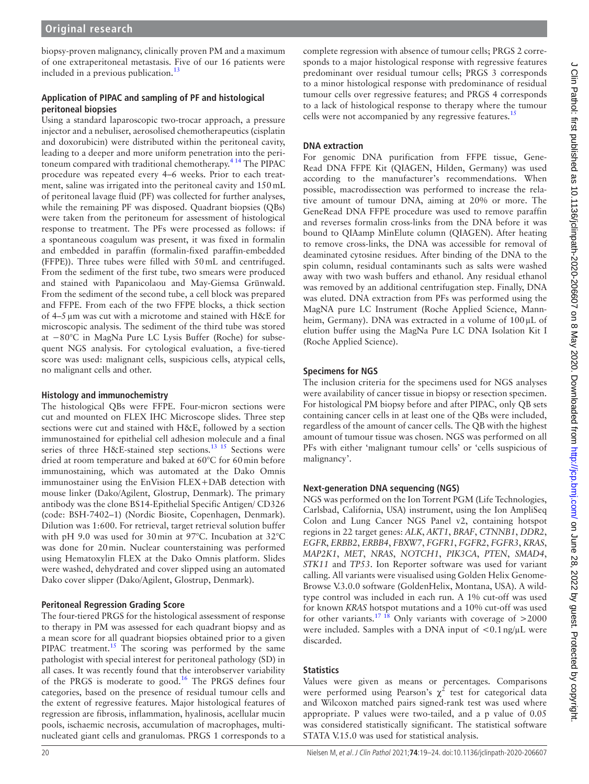biopsy-proven malignancy, clinically proven PM and a maximum of one extraperitoneal metastasis. Five of our 16 patients were included in a previous publication.<sup>13</sup>

# **Application of PIPAC and sampling of PF and histological peritoneal biopsies**

Using a standard laparoscopic two-trocar approach, a pressure injector and a nebuliser, aerosolised chemotherapeutics (cisplatin and doxorubicin) were distributed within the peritoneal cavity, leading to a deeper and more uniform penetration into the peritoneum compared with traditional chemotherapy.[4 14](#page-5-6) The PIPAC procedure was repeated every 4–6 weeks. Prior to each treatment, saline was irrigated into the peritoneal cavity and 150mL of peritoneal lavage fluid (PF) was collected for further analyses, while the remaining PF was disposed. Quadrant biopsies (QBs) were taken from the peritoneum for assessment of histological response to treatment. The PFs were processed as follows: if a spontaneous coagulum was present, it was fixed in formalin and embedded in paraffin (formalin-fixed paraffin-embedded (FFPE)). Three tubes were filled with 50mL and centrifuged. From the sediment of the first tube, two smears were produced and stained with Papanicolaou and May-Giemsa Grünwald. From the sediment of the second tube, a cell block was prepared and FFPE. From each of the two FFPE blocks, a thick section of 4–5µm was cut with a microtome and stained with H&E for microscopic analysis. The sediment of the third tube was stored at −80°C in MagNa Pure LC Lysis Buffer (Roche) for subsequent NGS analysis. For cytological evaluation, a five-tiered score was used: malignant cells, suspicious cells, atypical cells, no malignant cells and other.

# **Histology and immunochemistry**

The histological QBs were FFPE. Four-micron sections were cut and mounted on FLEX IHC Microscope slides. Three step sections were cut and stained with H&E, followed by a section immunostained for epithelial cell adhesion molecule and a final series of three H&E-stained step sections.<sup>13</sup> <sup>15</sup> Sections were dried at room temperature and baked at 60°C for 60min before immunostaining, which was automated at the Dako Omnis immunostainer using the EnVision FLEX+DAB detection with mouse linker (Dako/Agilent, Glostrup, Denmark). The primary antibody was the clone BS14-Epithelial Specific Antigen/ CD326 (code: BSH-7402–1) (Nordic Biosite, Copenhagen, Denmark). Dilution was 1:600. For retrieval, target retrieval solution buffer with pH 9.0 was used for 30min at 97°C. Incubation at 32°C was done for 20min. Nuclear counterstaining was performed using Hematoxylin FLEX at the Dako Omnis platform. Slides were washed, dehydrated and cover slipped using an automated Dako cover slipper (Dako/Agilent, Glostrup, Denmark).

# **Peritoneal Regression Grading Score**

The four-tiered PRGS for the histological assessment of response to therapy in PM was assessed for each quadrant biopsy and as a mean score for all quadrant biopsies obtained prior to a given PIPAC treatment.<sup>15</sup> The scoring was performed by the same pathologist with special interest for peritoneal pathology (SD) in all cases. It was recently found that the interobserver variability of the PRGS is moderate to good.<sup>16</sup> The PRGS defines four categories, based on the presence of residual tumour cells and the extent of regressive features. Major histological features of regression are fibrosis, inflammation, hyalinosis, acellular mucin pools, ischaemic necrosis, accumulation of macrophages, multinucleated giant cells and granulomas. PRGS 1 corresponds to a

complete regression with absence of tumour cells; PRGS 2 corresponds to a major histological response with regressive features predominant over residual tumour cells; PRGS 3 corresponds to a minor histological response with predominance of residual tumour cells over regressive features; and PRGS 4 corresponds to a lack of histological response to therapy where the tumour cells were not accompanied by any regressive features.<sup>[15](#page-5-7)</sup>

# **DNA extraction**

For genomic DNA purification from FFPE tissue, Gene-Read DNA FFPE Kit (QIAGEN, Hilden, Germany) was used according to the manufacturer's recommendations. When possible, macrodissection was performed to increase the relative amount of tumour DNA, aiming at 20% or more. The GeneRead DNA FFPE procedure was used to remove paraffin and reverses formalin cross-links from the DNA before it was bound to QIAamp MinElute column (QIAGEN). After heating to remove cross-links, the DNA was accessible for removal of deaminated cytosine residues. After binding of the DNA to the spin column, residual contaminants such as salts were washed away with two wash buffers and ethanol. Any residual ethanol was removed by an additional centrifugation step. Finally, DNA was eluted. DNA extraction from PFs was performed using the MagNA pure LC Instrument (Roche Applied Science, Mannheim, Germany). DNA was extracted in a volume of 100 µL of elution buffer using the MagNa Pure LC DNA Isolation Kit I (Roche Applied Science).

# **Specimens for NGS**

The inclusion criteria for the specimens used for NGS analyses were availability of cancer tissue in biopsy or resection specimen. For histological PM biopsy before and after PIPAC, only QB sets containing cancer cells in at least one of the QBs were included, regardless of the amount of cancer cells. The QB with the highest amount of tumour tissue was chosen. NGS was performed on all PFs with either 'malignant tumour cells' or 'cells suspicious of malignancy'.

# **Next-generation DNA sequencing (NGS)**

NGS was performed on the Ion Torrent PGM (Life Technologies, Carlsbad, California, USA) instrument, using the Ion AmpliSeq Colon and Lung Cancer NGS Panel v2, containing hotspot regions in 22 target genes: *ALK*, *AKT1*, *BRAF*, *CTNNB1*, *DDR2*, *EGFR*, *ERBB2*, *ERBB4*, *FBXW7*, *FGFR1*, *FGFR2*, *FGFR3*, *KRAS*, *MAP2K1*, *MET*, *NRAS*, *NOTCH1*, *PIK3CA*, *PTEN*, *SMAD4*, *STK11* and *TP53*. Ion Reporter software was used for variant calling. All variants were visualised using Golden Helix Genome-Browse V.3.0.0 software (GoldenHelix, Montana, USA). A wildtype control was included in each run. A 1% cut-off was used for known *KRAS* hotspot mutations and a 10% cut-off was used for other variants.<sup>17 18</sup> Only variants with coverage of  $>2000$ were included. Samples with a DNA input of  $\langle 0.1 \text{ ng/µL} \rangle$  were discarded.

# **Statistics**

Values were given as means or percentages. Comparisons were performed using Pearson's  $\chi^2$  test for categorical data and Wilcoxon matched pairs signed-rank test was used where appropriate. P values were two-tailed, and a p value of 0.05 was considered statistically significant. The statistical software STATA V.15.0 was used for statistical analysis.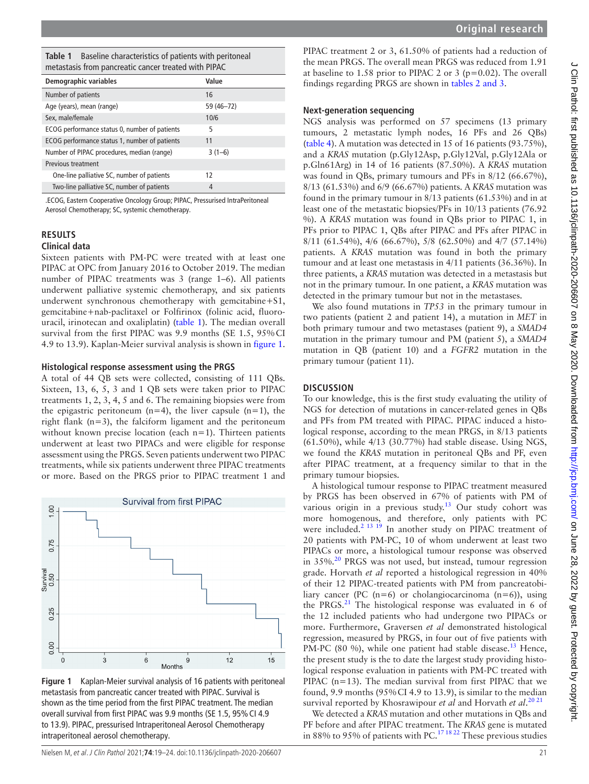<span id="page-2-0"></span>**Table 1** Baseline characteristics of patients with peritoneal metastasis from pancreatic cancer treated with PIPAC

| Demographic variables                         | Value      |
|-----------------------------------------------|------------|
| Number of patients                            | 16         |
| Age (years), mean (range)                     | 59 (46-72) |
| Sex, male/female                              | 10/6       |
| ECOG performance status 0, number of patients | 5          |
| ECOG performance status 1, number of patients | 11         |
| Number of PIPAC procedures, median (range)    | $3(1-6)$   |
| Previous treatment                            |            |
| One-line palliative SC, number of patients    | 12         |
| Two-line palliative SC, number of patients    | 4          |

.ECOG, Eastern Cooperative Oncology Group; PIPAC, Pressurised IntraPeritoneal Aerosol Chemotherapy; SC, systemic chemotherapy.

# **Results**

### **Clinical data**

Sixteen patients with PM-PC were treated with at least one PIPAC at OPC from January 2016 to October 2019. The median number of PIPAC treatments was 3 (range 1–6). All patients underwent palliative systemic chemotherapy, and six patients underwent synchronous chemotherapy with gemcitabine+S1, gemcitabine+nab-paclitaxel or Folfirinox (folinic acid, fluorouracil, irinotecan and oxaliplatin) [\(table](#page-2-0) 1). The median overall survival from the first PIPAC was 9.9 months (SE 1.5, 95% CI 4.9 to 13.9). Kaplan-Meier survival analysis is shown in [figure](#page-2-1) 1.

#### **Histological response assessment using the PRGS**

A total of 44 QB sets were collected, consisting of 111 QBs. Sixteen, 13, 6, 5, 3 and 1 QB sets were taken prior to PIPAC treatments 1, 2, 3, 4, 5 and 6. The remaining biopsies were from the epigastric peritoneum  $(n=4)$ , the liver capsule  $(n=1)$ , the right flank (n=3), the falciform ligament and the peritoneum without known precise location (each n=1). Thirteen patients underwent at least two PIPACs and were eligible for response assessment using the PRGS. Seven patients underwent two PIPAC treatments, while six patients underwent three PIPAC treatments or more. Based on the PRGS prior to PIPAC treatment 1 and



<span id="page-2-1"></span>**Figure 1** Kaplan-Meier survival analysis of 16 patients with peritoneal metastasis from pancreatic cancer treated with PIPAC. Survival is shown as the time period from the first PIPAC treatment. The median overall survival from first PIPAC was 9.9 months (SE 1.5, 95%CI 4.9 to 13.9). PIPAC, pressurised Intraperitoneal Aerosol Chemotherapy intraperitoneal aerosol chemotherapy.

PIPAC treatment 2 or 3, 61.50% of patients had a reduction of the mean PRGS. The overall mean PRGS was reduced from 1.91 at baseline to 1.58 prior to PIPAC 2 or 3 ( $p=0.02$ ). The overall findings regarding PRGS are shown in tables [2 and 3](#page-3-0).

# **Next-generation sequencing**

NGS analysis was performed on 57 specimens (13 primary tumours, 2 metastatic lymph nodes, 16 PFs and 26 QBs) ([table](#page-4-0) 4). A mutation was detected in 15 of 16 patients (93.75%), and a *KRAS* mutation (p.Gly12Asp, p.Gly12Val, p.Gly12Ala or p.Gln61Arg) in 14 of 16 patients (87.50%). A *KRAS* mutation was found in QBs, primary tumours and PFs in 8/12 (66.67%), 8/13 (61.53%) and 6/9 (66.67%) patients. A *KRAS* mutation was found in the primary tumour in 8/13 patients (61.53%) and in at least one of the metastatic biopsies/PFs in 10/13 patients (76.92 %). A *KRAS* mutation was found in QBs prior to PIPAC 1, in PFs prior to PIPAC 1, QBs after PIPAC and PFs after PIPAC in 8/11 (61.54%), 4/6 (66.67%), 5/8 (62.50%) and 4/7 (57.14%) patients. A *KRAS* mutation was found in both the primary tumour and at least one metastasis in 4/11 patients (36.36%). In three patients, a *KRAS* mutation was detected in a metastasis but not in the primary tumour. In one patient, a *KRAS* mutation was detected in the primary tumour but not in the metastases.

We also found mutations in *TP53* in the primary tumour in two patients (patient 2 and patient 14), a mutation in *MET* in both primary tumour and two metastases (patient 9), a *SMAD4* mutation in the primary tumour and PM (patient 5), a *SMAD4* mutation in QB (patient 10) and a *FGFR2* mutation in the primary tumour (patient 11).

# **Discussion**

To our knowledge, this is the first study evaluating the utility of NGS for detection of mutations in cancer-related genes in QBs and PFs from PM treated with PIPAC. PIPAC induced a histological response, according to the mean PRGS, in 8/13 patients (61.50%), while 4/13 (30.77%) had stable disease. Using NGS, we found the *KRAS* mutation in peritoneal QBs and PF, even after PIPAC treatment, at a frequency similar to that in the primary tumour biopsies.

A histological tumour response to PIPAC treatment measured by PRGS has been observed in 67% of patients with PM of various origin in a previous study.[13](#page-5-5) Our study cohort was more homogenous, and therefore, only patients with PC were included.<sup>2</sup> <sup>13</sup> <sup>19</sup> In another study on PIPAC treatment of 20 patients with PM-PC, 10 of whom underwent at least two PIPACs or more, a histological tumour response was observed in 35%.<sup>20</sup> PRGS was not used, but instead, tumour regression grade. Horvath *et al* reported a histological regression in 40% of their 12 PIPAC-treated patients with PM from pancreatobiliary cancer (PC  $(n=6)$  or cholangiocarcinoma  $(n=6)$ ), using the PRGS. $^{21}$  The histological response was evaluated in 6 of the 12 included patients who had undergone two PIPACs or more. Furthermore, Graversen *et al* demonstrated histological regression, measured by PRGS, in four out of five patients with PM-PC (80 %), while one patient had stable disease.<sup>[13](#page-5-5)</sup> Hence, the present study is the to date the largest study providing histological response evaluation in patients with PM-PC treated with PIPAC (n=13). The median survival from first PIPAC that we found, 9.9 months (95%CI 4.9 to 13.9), is similar to the median survival reported by Khosrawipour *et al* and Horvath *et al*. [20 21](#page-5-10)

We detected a *KRAS* mutation and other mutations in QBs and PF before and after PIPAC treatment. The *KRAS* gene is mutated in 88% to 95% of patients with PC.<sup>[17 18 22](#page-5-9)</sup> These previous studies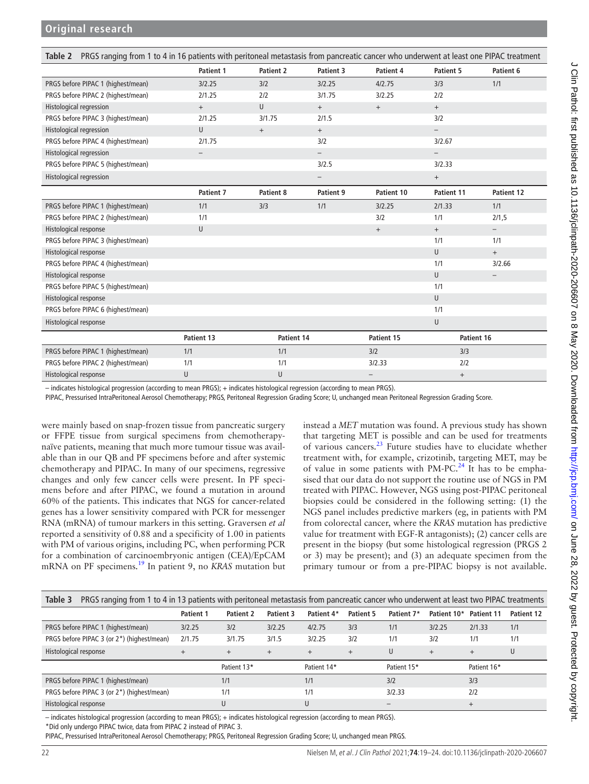# **Original research**

<span id="page-3-0"></span>

| PRGS ranging from 1 to 4 in 16 patients with peritoneal metastasis from pancreatic cancer who underwent at least one PIPAC treatment<br>Table 2 |                          |                  |                          |                   |                          |                          |
|-------------------------------------------------------------------------------------------------------------------------------------------------|--------------------------|------------------|--------------------------|-------------------|--------------------------|--------------------------|
|                                                                                                                                                 | Patient 1                | <b>Patient 2</b> | Patient 3                | Patient 4         | Patient 5                | Patient 6                |
| PRGS before PIPAC 1 (highest/mean)                                                                                                              | 3/2.25                   | 3/2              | 3/2.25                   | 4/2.75            | 3/3                      | 1/1                      |
| PRGS before PIPAC 2 (highest/mean)                                                                                                              | 2/1.25                   | 2/2              | 3/1.75                   | 3/2.25            | 2/2                      |                          |
| <b>Histological regression</b>                                                                                                                  | $+$                      | U                | $+$                      | $^{+}$            | $^{+}$                   |                          |
| PRGS before PIPAC 3 (highest/mean)                                                                                                              | 2/1.25                   | 3/1.75           | 2/1.5                    |                   | 3/2                      |                          |
| <b>Histological regression</b>                                                                                                                  | U                        | $\! + \!\!\!\!$  | $+$                      |                   | $\overline{\phantom{0}}$ |                          |
| PRGS before PIPAC 4 (highest/mean)                                                                                                              | 2/1.75                   |                  | 3/2                      |                   | 3/2.67                   |                          |
| <b>Histological regression</b>                                                                                                                  | $\overline{\phantom{m}}$ |                  | $\overline{\phantom{0}}$ |                   | $\overline{\phantom{0}}$ |                          |
| PRGS before PIPAC 5 (highest/mean)                                                                                                              |                          |                  | 3/2.5                    |                   | 3/2.33                   |                          |
| Histological regression                                                                                                                         |                          |                  | -                        |                   | $^{+}$                   |                          |
|                                                                                                                                                 | <b>Patient 7</b>         | Patient 8        | Patient 9                | Patient 10        | Patient 11               | Patient 12               |
| PRGS before PIPAC 1 (highest/mean)                                                                                                              | 1/1                      | 3/3              | 1/1                      | 3/2.25            | 2/1.33                   | 1/1                      |
| PRGS before PIPAC 2 (highest/mean)                                                                                                              | 1/1                      |                  |                          | 3/2               | 1/1                      | 2/1,5                    |
| Histological response                                                                                                                           | U                        |                  |                          | $+$               | $+$                      | $\overline{\phantom{0}}$ |
| PRGS before PIPAC 3 (highest/mean)                                                                                                              |                          |                  |                          |                   | 1/1                      | 1/1                      |
| Histological response                                                                                                                           |                          |                  |                          |                   | U                        | $+$                      |
| PRGS before PIPAC 4 (highest/mean)                                                                                                              |                          |                  |                          |                   | 1/1                      | 3/2.66                   |
| Histological response                                                                                                                           |                          |                  |                          |                   | U                        |                          |
| PRGS before PIPAC 5 (highest/mean)                                                                                                              |                          |                  |                          |                   | 1/1                      |                          |
| Histological response                                                                                                                           |                          |                  |                          |                   | U                        |                          |
| PRGS before PIPAC 6 (highest/mean)                                                                                                              |                          |                  |                          |                   | 1/1                      |                          |
| Histological response                                                                                                                           |                          |                  |                          |                   | U                        |                          |
|                                                                                                                                                 | Patient 13               | Patient 14       |                          | Patient 15        | Patient 16               |                          |
| PRGS before PIPAC 1 (highest/mean)                                                                                                              | 1/1                      | 1/1              |                          | 3/2               | 3/3                      |                          |
| PRGS before PIPAC 2 (highest/mean)                                                                                                              | 1/1                      | 1/1              |                          | 3/2.33            | 2/2                      |                          |
| Histological response                                                                                                                           | U                        | U                |                          | $\qquad \qquad -$ | $\qquad \qquad +$        |                          |

– indicates histological progression (according to mean PRGS); + indicates histological regression (according to mean PRGS).

PIPAC, Pressurised IntraPeritoneal Aerosol Chemotherapy; PRGS, Peritoneal Regression Grading Score; U, unchanged mean Peritoneal Regression Grading Score.

were mainly based on snap-frozen tissue from pancreatic surgery or FFPE tissue from surgical specimens from chemotherapynaïve patients, meaning that much more tumour tissue was available than in our QB and PF specimens before and after systemic chemotherapy and PIPAC. In many of our specimens, regressive changes and only few cancer cells were present. In PF specimens before and after PIPAC, we found a mutation in around 60% of the patients. This indicates that NGS for cancer-related genes has a lower sensitivity compared with PCR for messenger RNA (mRNA) of tumour markers in this setting. Graversen *et al* reported a sensitivity of 0.88 and a specificity of 1.00 in patients with PM of various origins, including PC, when performing PCR for a combination of carcinoembryonic antigen (CEA)/EpCAM mRNA on PF specimens.[19](#page-5-12) In patient 9, no *KRAS* mutation but

instead a *MET* mutation was found. A previous study has shown that targeting MET is possible and can be used for treatments of various cancers.[23](#page-5-13) Future studies have to elucidate whether treatment with, for example, crizotinib, targeting MET, may be of value in some patients with PM-PC.<sup>24</sup> It has to be emphasised that our data do not support the routine use of NGS in PM treated with PIPAC. However, NGS using post-PIPAC peritoneal biopsies could be considered in the following setting: (1) the NGS panel includes predictive markers (eg, in patients with PM from colorectal cancer, where the *KRAS* mutation has predictive value for treatment with EGF-R antagonists); (2) cancer cells are present in the biopsy (but some histological regression (PRGS 2 or 3) may be present); and (3) an adequate specimen from the primary tumour or from a pre-PIPAC biopsy is not available.

| PRGS ranging from 1 to 4 in 13 patients with peritoneal metastasis from pancreatic cancer who underwent at least two PIPAC treatments<br>Table 3 |                  |                  |           |             |           |                 |             |                   |            |
|--------------------------------------------------------------------------------------------------------------------------------------------------|------------------|------------------|-----------|-------------|-----------|-----------------|-------------|-------------------|------------|
|                                                                                                                                                  | <b>Patient 1</b> | <b>Patient 2</b> | Patient 3 | Patient 4*  | Patient 5 | Patient 7*      | Patient 10* | <b>Patient 11</b> | Patient 12 |
| PRGS before PIPAC 1 (highest/mean)                                                                                                               | 3/2.25           | 3/2              | 3/2.25    | 4/2.75      | 3/3       | 1/1             | 3/2.25      | 2/1.33            | 1/1        |
| PRGS before PIPAC 3 (or 2*) (highest/mean)                                                                                                       | 2/1.75           | 3/1.75           | 3/1.5     | 3/2.25      | 3/2       | 1/1             | 3/2         | 1/1               | 1/1        |
| Histological response                                                                                                                            | $+$              | $+$              | $+$       | $+$         | $+$       | U               | $+$         | $+$               | U          |
|                                                                                                                                                  |                  | Patient 13*      |           | Patient 14* |           | Patient 15*     |             | Patient 16*       |            |
| PRGS before PIPAC 1 (highest/mean)                                                                                                               |                  | 1/1              |           | 1/1         |           | 3/2             |             | 3/3               |            |
| PRGS before PIPAC 3 (or 2*) (highest/mean)                                                                                                       |                  | 1/1              |           | 1/1         |           | 3/2.33          |             | 2/2               |            |
| Histological response                                                                                                                            |                  |                  |           | U           |           | $\qquad \qquad$ |             | $+$               |            |

– indicates histological progression (according to mean PRGS); + indicates histological regression (according to mean PRGS).

\*Did only undergo PIPAC twice, data from PIPAC 2 instead of PIPAC 3.

PIPAC, Pressurised IntraPeritoneal Aerosol Chemotherapy; PRGS, Peritoneal Regression Grading Score; U, unchanged mean PRGS.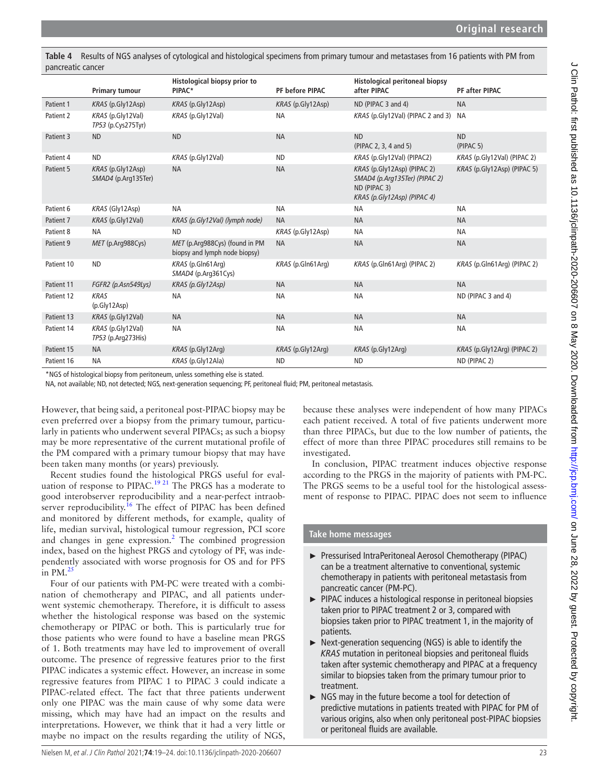<span id="page-4-0"></span>**Table 4** Results of NGS analyses of cytological and histological specimens from primary tumour and metastases from 16 patients with PM from pancreatic cancer

|            | <b>Primary tumour</b>                       | <b>Histological biopsy prior to</b><br>PIPAC*                   | PF before PIPAC       | <b>Histological peritoneal biopsy</b><br>after PIPAC                                                        | PF after PIPAC                  |
|------------|---------------------------------------------|-----------------------------------------------------------------|-----------------------|-------------------------------------------------------------------------------------------------------------|---------------------------------|
| Patient 1  | KRAS (p.Gly12Asp)                           | KRAS (p.Gly12Asp)                                               | KRAS (p.Gly12Asp)     | ND (PIPAC 3 and 4)                                                                                          | <b>NA</b>                       |
| Patient 2  | $KRAS$ (p. Gly 12Val)<br>TP53 (p.Cys275Tyr) | KRAS (p.Gly12Val)                                               | <b>NA</b>             | KRAS (p.Gly12Val) (PIPAC 2 and 3) NA                                                                        |                                 |
| Patient 3  | <b>ND</b>                                   | <b>ND</b>                                                       | <b>NA</b>             | <b>ND</b><br>(PIPAC 2, 3, 4 and 5)                                                                          | <b>ND</b><br>(PIPAC 5)          |
| Patient 4  | <b>ND</b>                                   | KRAS (p.Gly12Val)                                               | <b>ND</b>             | KRAS (p.Gly12Val) (PIPAC2)                                                                                  | KRAS (p.Gly12Val) (PIPAC 2)     |
| Patient 5  | KRAS (p.Gly12Asp)<br>SMAD4 (p.Arg135Ter)    | <b>NA</b>                                                       | <b>NA</b>             | KRAS (p.Gly12Asp) (PIPAC 2)<br>SMAD4 (p.Arg135Ter) (PIPAC 2)<br>ND (PIPAC 3)<br>KRAS (p.Gly12Asp) (PIPAC 4) | $KRAS$ (p. Gly 12Asp) (PIPAC 5) |
| Patient 6  | KRAS (Gly12Asp)                             | <b>NA</b>                                                       | <b>NA</b>             | <b>NA</b>                                                                                                   | <b>NA</b>                       |
| Patient 7  | $KRAS$ (p. Gly 12Val)                       | KRAS (p.Gly12Val) (lymph node)                                  | <b>NA</b>             | <b>NA</b>                                                                                                   | <b>NA</b>                       |
| Patient 8  | <b>NA</b>                                   | <b>ND</b>                                                       | $KRAS$ (p. Gly 12Asp) | <b>NA</b>                                                                                                   | <b>NA</b>                       |
| Patient 9  | MET (p.Arg988Cys)                           | MET (p.Arq988Cys) (found in PM<br>biopsy and lymph node biopsy) | <b>NA</b>             | <b>NA</b>                                                                                                   | <b>NA</b>                       |
| Patient 10 | <b>ND</b>                                   | KRAS (p.Gln61Arq)<br>SMAD4 (p.Arg361Cys)                        | KRAS (p.Gln61Arq)     | KRAS (p.Gln61Arg) (PIPAC 2)                                                                                 | KRAS (p.Gln61Arg) (PIPAC 2)     |
| Patient 11 | FGFR2 (p.Asn549Lys)                         | KRAS (p.Gly12Asp)                                               | <b>NA</b>             | <b>NA</b>                                                                                                   | <b>NA</b>                       |
| Patient 12 | <b>KRAS</b><br>(p.Gly12Asp)                 | <b>NA</b>                                                       | <b>NA</b>             | <b>NA</b>                                                                                                   | ND (PIPAC 3 and 4)              |
| Patient 13 | $KRAS$ (p. Gly 12Val)                       | <b>NA</b>                                                       | <b>NA</b>             | <b>NA</b>                                                                                                   | <b>NA</b>                       |
| Patient 14 | $KRAS$ (p. Gly 12Val)<br>TP53 (p.Arg273His) | <b>NA</b>                                                       | <b>NA</b>             | <b>NA</b>                                                                                                   | <b>NA</b>                       |
| Patient 15 | <b>NA</b>                                   | KRAS (p.Gly12Arg)                                               | $KRAS$ (p. Gly 12Arg) | KRAS (p.Gly12Arg)                                                                                           | $KRAS$ (p.Gly12Arg) (PIPAC 2)   |
| Patient 16 | <b>NA</b>                                   | KRAS (p.Gly12Ala)                                               | <b>ND</b>             | <b>ND</b>                                                                                                   | ND (PIPAC 2)                    |

\*NGS of histological biopsy from peritoneum, unless something else is stated.

NA, not available; ND, not detected; NGS, next-generation sequencing; PF, peritoneal fluid; PM, peritoneal metastasis.

However, that being said, a peritoneal post-PIPAC biopsy may be even preferred over a biopsy from the primary tumour, particularly in patients who underwent several PIPACs; as such a biopsy may be more representative of the current mutational profile of the PM compared with a primary tumour biopsy that may have been taken many months (or years) previously.

Recent studies found the histological PRGS useful for eval-uation of response to PIPAC.<sup>[19 21](#page-5-12)</sup> The PRGS has a moderate to good interobserver reproducibility and a near-perfect intraobserver reproducibility.<sup>16</sup> The effect of PIPAC has been defined and monitored by different methods, for example, quality of life, median survival, histological tumour regression, PCI score and changes in gene expression. $<sup>2</sup>$  $<sup>2</sup>$  $<sup>2</sup>$  The combined progression</sup> index, based on the highest PRGS and cytology of PF, was independently associated with worse prognosis for OS and for PFS in  $PM<sup>2</sup>$ 

Four of our patients with PM-PC were treated with a combination of chemotherapy and PIPAC, and all patients underwent systemic chemotherapy. Therefore, it is difficult to assess whether the histological response was based on the systemic chemotherapy or PIPAC or both. This is particularly true for those patients who were found to have a baseline mean PRGS of 1. Both treatments may have led to improvement of overall outcome. The presence of regressive features prior to the first PIPAC indicates a systemic effect. However, an increase in some regressive features from PIPAC 1 to PIPAC 3 could indicate a PIPAC-related effect. The fact that three patients underwent only one PIPAC was the main cause of why some data were missing, which may have had an impact on the results and interpretations. However, we think that it had a very little or maybe no impact on the results regarding the utility of NGS,

because these analyses were independent of how many PIPACs each patient received. A total of five patients underwent more than three PIPACs, but due to the low number of patients, the effect of more than three PIPAC procedures still remains to be investigated.

In conclusion, PIPAC treatment induces objective response according to the PRGS in the majority of patients with PM-PC. The PRGS seems to be a useful tool for the histological assessment of response to PIPAC. PIPAC does not seem to influence

# **Take home messages**

- ► Pressurised IntraPeritoneal Aerosol Chemotherapy (PIPAC) can be a treatment alternative to conventional, systemic chemotherapy in patients with peritoneal metastasis from pancreatic cancer (PM-PC).
- ► PIPAC induces a histological response in peritoneal biopsies taken prior to PIPAC treatment 2 or 3, compared with biopsies taken prior to PIPAC treatment 1, in the majority of patients.
- ► Next-generation sequencing (NGS) is able to identify the *KRAS* mutation in peritoneal biopsies and peritoneal fluids taken after systemic chemotherapy and PIPAC at a frequency similar to biopsies taken from the primary tumour prior to treatment.
- ► NGS may in the future become a tool for detection of predictive mutations in patients treated with PIPAC for PM of various origins, also when only peritoneal post-PIPAC biopsies or peritoneal fluids are available.